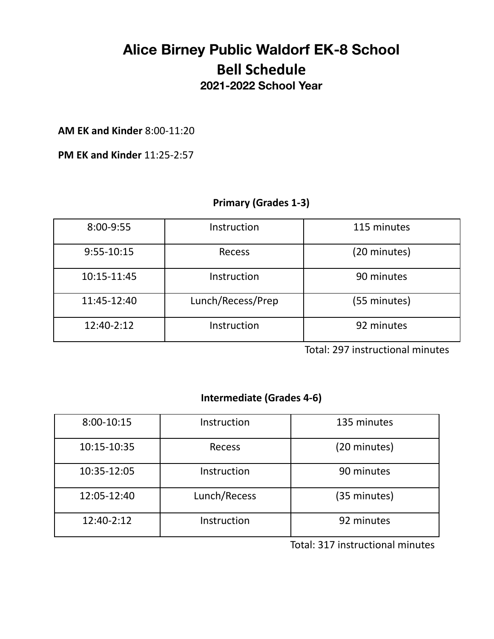### **Alice Birney Public Waldorf EK-8 School Bell Schedule 2021-2022 School Year**

**AM EK and Kinder** 8:00-11:20

**PM EK and Kinder** 11:25-2:57

#### **Primary (Grades 1-3)**

| 8:00-9:55   | Instruction       | 115 minutes  |
|-------------|-------------------|--------------|
| 9:55-10:15  | <b>Recess</b>     | (20 minutes) |
| 10:15-11:45 | Instruction       | 90 minutes   |
| 11:45-12:40 | Lunch/Recess/Prep | (55 minutes) |
| 12:40-2:12  | Instruction       | 92 minutes   |

Total: 297 instructional minutes

#### **Intermediate (Grades 4-6)**

| 8:00-10:15  | Instruction   | 135 minutes  |
|-------------|---------------|--------------|
| 10:15-10:35 | <b>Recess</b> | (20 minutes) |
| 10:35-12:05 | Instruction   | 90 minutes   |
| 12:05-12:40 | Lunch/Recess  | (35 minutes) |
| 12:40-2:12  | Instruction   | 92 minutes   |

Total: 317 instructional minutes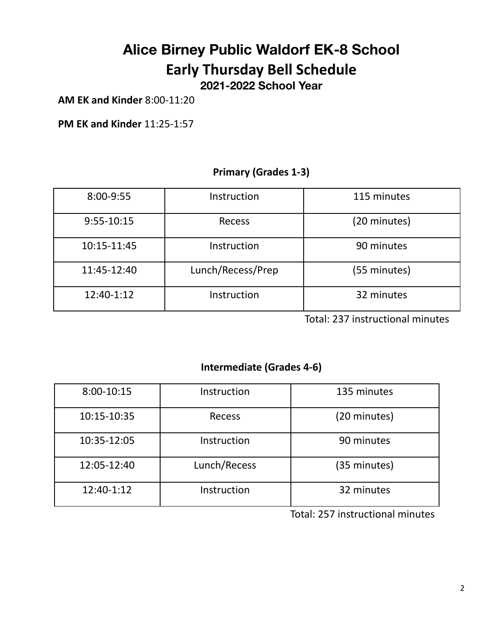# **Alice Birney Public Waldorf EK-8 School Early Thursday Bell Schedule**

**2021-2022 School Year**

**AM EK and Kinder** 8:00-11:20

**PM EK and Kinder** 11:25-1:57

#### **Primary (Grades 1-3)**

| 8:00-9:55    | Instruction       | 115 minutes  |
|--------------|-------------------|--------------|
| $9:55-10:15$ | Recess            | (20 minutes) |
| 10:15-11:45  | Instruction       | 90 minutes   |
| 11:45-12:40  | Lunch/Recess/Prep | (55 minutes) |
| 12:40-1:12   | Instruction       | 32 minutes   |

Total: 237 instructional minutes

#### **Intermediate (Grades 4-6)**

| 8:00-10:15  | Instruction   | 135 minutes  |
|-------------|---------------|--------------|
| 10:15-10:35 | <b>Recess</b> | (20 minutes) |
| 10:35-12:05 | Instruction   | 90 minutes   |
| 12:05-12:40 | Lunch/Recess  | (35 minutes) |
| 12:40-1:12  | Instruction   | 32 minutes   |

Total: 257 instructional minutes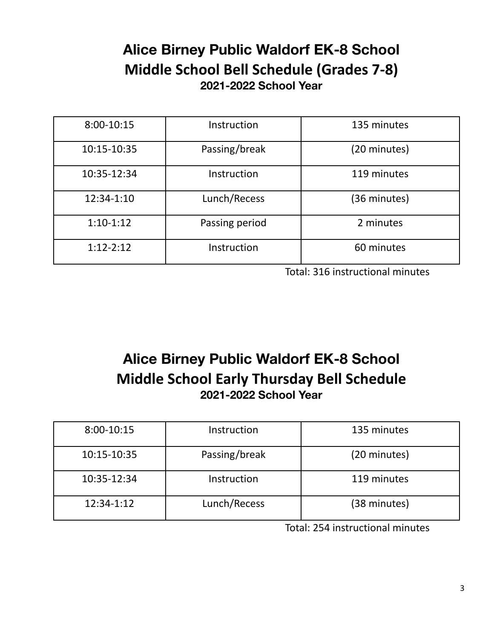### **Alice Birney Public Waldorf EK-8 School Middle School Bell Schedule (Grades 7-8) 2021-2022 School Year**

| 8:00-10:15  | Instruction    | 135 minutes  |
|-------------|----------------|--------------|
| 10:15-10:35 | Passing/break  | (20 minutes) |
| 10:35-12:34 | Instruction    | 119 minutes  |
| 12:34-1:10  | Lunch/Recess   | (36 minutes) |
| $1:10-1:12$ | Passing period | 2 minutes    |
| $1:12-2:12$ | Instruction    | 60 minutes   |

Total: 316 instructional minutes

## **Alice Birney Public Waldorf EK-8 School Middle School Early Thursday Bell Schedule 2021-2022 School Year**

| 8:00-10:15  | Instruction   | 135 minutes  |
|-------------|---------------|--------------|
| 10:15-10:35 | Passing/break | (20 minutes) |
| 10:35-12:34 | Instruction   | 119 minutes  |
| 12:34-1:12  | Lunch/Recess  | (38 minutes) |

Total: 254 instructional minutes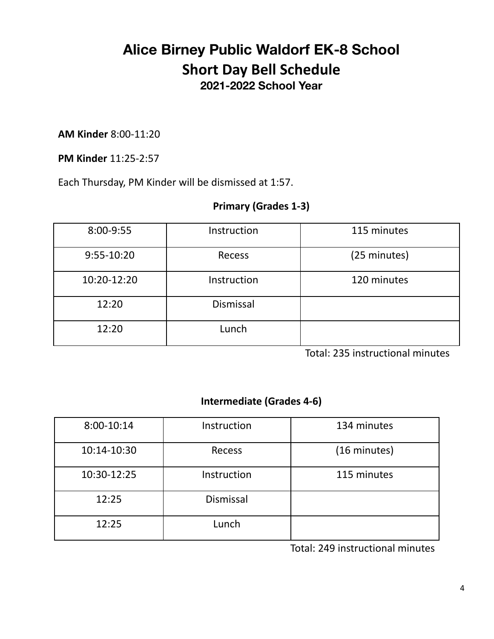### **Alice Birney Public Waldorf EK-8 School Short Day Bell Schedule 2021-2022 School Year**

**AM Kinder** 8:00-11:20

**PM Kinder** 11:25-2:57

Each Thursday, PM Kinder will be dismissed at 1:57.

### **Primary (Grades 1-3)**

| 8:00-9:55   | Instruction      | 115 minutes  |
|-------------|------------------|--------------|
| 9:55-10:20  | Recess           | (25 minutes) |
| 10:20-12:20 | Instruction      | 120 minutes  |
| 12:20       | <b>Dismissal</b> |              |
| 12:20       | Lunch            |              |

Total: 235 instructional minutes

### **Intermediate (Grades 4-6)**

| 8:00-10:14  | Instruction   | 134 minutes  |
|-------------|---------------|--------------|
| 10:14-10:30 | <b>Recess</b> | (16 minutes) |
| 10:30-12:25 | Instruction   | 115 minutes  |
| 12:25       | Dismissal     |              |
| 12:25       | Lunch         |              |

Total: 249 instructional minutes